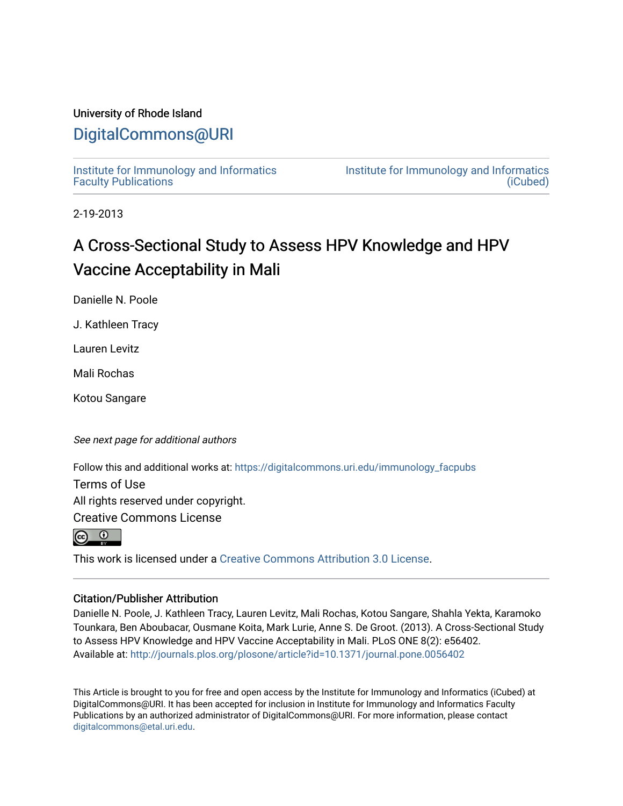## University of Rhode Island

## [DigitalCommons@URI](https://digitalcommons.uri.edu/)

[Institute for Immunology and Informatics](https://digitalcommons.uri.edu/immunology_facpubs) [Faculty Publications](https://digitalcommons.uri.edu/immunology_facpubs)

[Institute for Immunology and Informatics](https://digitalcommons.uri.edu/immunology)  [\(iCubed\)](https://digitalcommons.uri.edu/immunology) 

2-19-2013

## A Cross-Sectional Study to Assess HPV Knowledge and HPV Vaccine Acceptability in Mali

Danielle N. Poole

J. Kathleen Tracy

Lauren Levitz

Mali Rochas

Kotou Sangare

See next page for additional authors

Follow this and additional works at: [https://digitalcommons.uri.edu/immunology\\_facpubs](https://digitalcommons.uri.edu/immunology_facpubs?utm_source=digitalcommons.uri.edu%2Fimmunology_facpubs%2F24&utm_medium=PDF&utm_campaign=PDFCoverPages)

Terms of Use

All rights reserved under copyright.

Creative Commons License



This work is licensed under a [Creative Commons Attribution 3.0 License](https://creativecommons.org/licenses/by/3.0/).

### Citation/Publisher Attribution

Danielle N. Poole, J. Kathleen Tracy, Lauren Levitz, Mali Rochas, Kotou Sangare, Shahla Yekta, Karamoko Tounkara, Ben Aboubacar, Ousmane Koita, Mark Lurie, Anne S. De Groot. (2013). A Cross-Sectional Study to Assess HPV Knowledge and HPV Vaccine Acceptability in Mali. PLoS ONE 8(2): e56402. Available at:<http://journals.plos.org/plosone/article?id=10.1371/journal.pone.0056402>

This Article is brought to you for free and open access by the Institute for Immunology and Informatics (iCubed) at DigitalCommons@URI. It has been accepted for inclusion in Institute for Immunology and Informatics Faculty Publications by an authorized administrator of DigitalCommons@URI. For more information, please contact [digitalcommons@etal.uri.edu](mailto:digitalcommons@etal.uri.edu).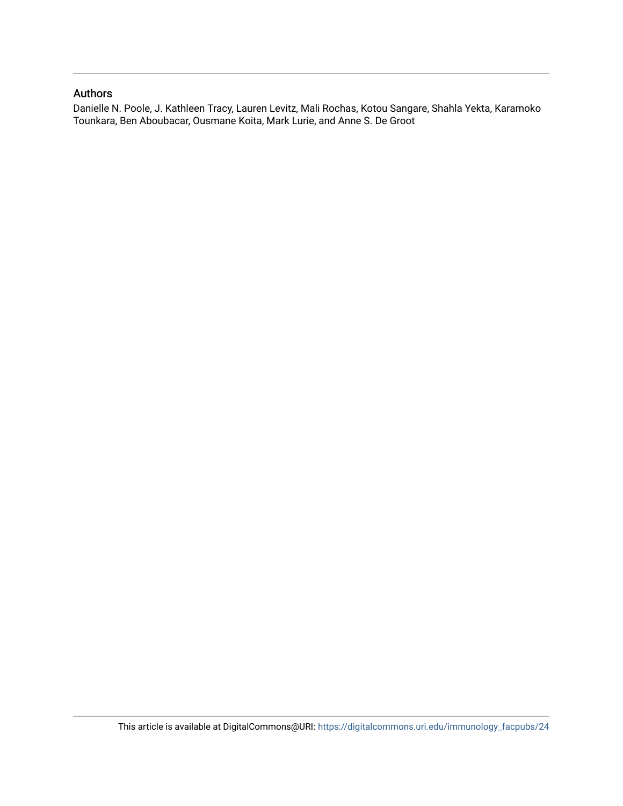### Authors

Danielle N. Poole, J. Kathleen Tracy, Lauren Levitz, Mali Rochas, Kotou Sangare, Shahla Yekta, Karamoko Tounkara, Ben Aboubacar, Ousmane Koita, Mark Lurie, and Anne S. De Groot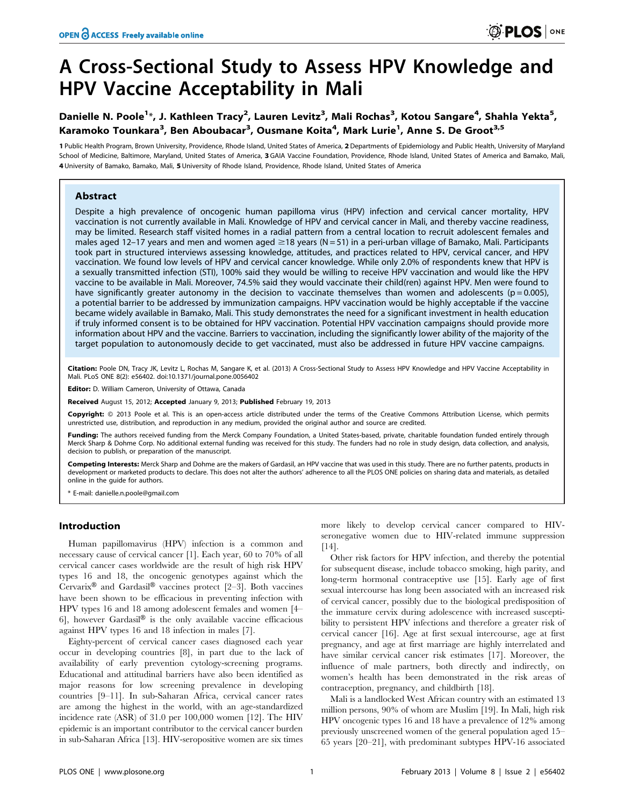# A Cross-Sectional Study to Assess HPV Knowledge and HPV Vaccine Acceptability in Mali

## Danielle N. Poole<sup>1</sup>\*, J. Kathleen Tracy<sup>2</sup>, Lauren Levitz<sup>3</sup>, Mali Rochas<sup>3</sup>, Kotou Sangare<sup>4</sup>, Shahla Yekta<sup>5</sup>, Karamoko Tounkara<sup>3</sup>, Ben Aboubacar<sup>3</sup>, Ousmane Koita<sup>4</sup>, Mark Lurie<sup>1</sup>, Anne S. De Groot<sup>3,5</sup>

1 Public Health Program, Brown University, Providence, Rhode Island, United States of America, 2 Departments of Epidemiology and Public Health, University of Maryland School of Medicine, Baltimore, Maryland, United States of America, 3 GAIA Vaccine Foundation, Providence, Rhode Island, United States of America and Bamako, Mali, 4 University of Bamako, Bamako, Mali, 5 University of Rhode Island, Providence, Rhode Island, United States of America

#### Abstract

Despite a high prevalence of oncogenic human papilloma virus (HPV) infection and cervical cancer mortality, HPV vaccination is not currently available in Mali. Knowledge of HPV and cervical cancer in Mali, and thereby vaccine readiness, may be limited. Research staff visited homes in a radial pattern from a central location to recruit adolescent females and males aged 12–17 years and men and women aged  $\geq$ 18 years (N = 51) in a peri-urban village of Bamako, Mali. Participants took part in structured interviews assessing knowledge, attitudes, and practices related to HPV, cervical cancer, and HPV vaccination. We found low levels of HPV and cervical cancer knowledge. While only 2.0% of respondents knew that HPV is a sexually transmitted infection (STI), 100% said they would be willing to receive HPV vaccination and would like the HPV vaccine to be available in Mali. Moreover, 74.5% said they would vaccinate their child(ren) against HPV. Men were found to have significantly greater autonomy in the decision to vaccinate themselves than women and adolescents ( $p = 0.005$ ), a potential barrier to be addressed by immunization campaigns. HPV vaccination would be highly acceptable if the vaccine became widely available in Bamako, Mali. This study demonstrates the need for a significant investment in health education if truly informed consent is to be obtained for HPV vaccination. Potential HPV vaccination campaigns should provide more information about HPV and the vaccine. Barriers to vaccination, including the significantly lower ability of the majority of the target population to autonomously decide to get vaccinated, must also be addressed in future HPV vaccine campaigns.

Citation: Poole DN, Tracy JK, Levitz L, Rochas M, Sangare K, et al. (2013) A Cross-Sectional Study to Assess HPV Knowledge and HPV Vaccine Acceptability in Mali. PLoS ONE 8(2): e56402. doi:10.1371/journal.pone.0056402

Editor: D. William Cameron, University of Ottawa, Canada

Received August 15, 2012; Accepted January 9, 2013; Published February 19, 2013

Copyright: @ 2013 Poole et al. This is an open-access article distributed under the terms of the Creative Commons Attribution License, which permits unrestricted use, distribution, and reproduction in any medium, provided the original author and source are credited.

Funding: The authors received funding from the Merck Company Foundation, a United States-based, private, charitable foundation funded entirely through Merck Sharp & Dohme Corp. No additional external funding was received for this study. The funders had no role in study design, data collection, and analysis, decision to publish, or preparation of the manuscript.

Competing Interests: Merck Sharp and Dohme are the makers of Gardasil, an HPV vaccine that was used in this study. There are no further patents, products in development or marketed products to declare. This does not alter the authors' adherence to all the PLOS ONE policies on sharing data and materials, as detailed online in the guide for authors.

E-mail: danielle.n.poole@gmail.com

#### Introduction

Human papillomavirus (HPV) infection is a common and necessary cause of cervical cancer [1]. Each year, 60 to 70% of all cervical cancer cases worldwide are the result of high risk HPV types 16 and 18, the oncogenic genotypes against which the Cervarix® and Gardasil® vaccines protect [2–3]. Both vaccines have been shown to be efficacious in preventing infection with HPV types 16 and 18 among adolescent females and women [4– 6], however Gardasil<sup>®</sup> is the only available vaccine efficacious against HPV types 16 and 18 infection in males [7].

Eighty-percent of cervical cancer cases diagnosed each year occur in developing countries [8], in part due to the lack of availability of early prevention cytology-screening programs. Educational and attitudinal barriers have also been identified as major reasons for low screening prevalence in developing countries [9–11]. In sub-Saharan Africa, cervical cancer rates are among the highest in the world, with an age-standardized incidence rate (ASR) of 31.0 per 100,000 women [12]. The HIV epidemic is an important contributor to the cervical cancer burden in sub-Saharan Africa [13]. HIV-seropositive women are six times

more likely to develop cervical cancer compared to HIVseronegative women due to HIV-related immune suppression [14].

Other risk factors for HPV infection, and thereby the potential for subsequent disease, include tobacco smoking, high parity, and long-term hormonal contraceptive use [15]. Early age of first sexual intercourse has long been associated with an increased risk of cervical cancer, possibly due to the biological predisposition of the immature cervix during adolescence with increased susceptibility to persistent HPV infections and therefore a greater risk of cervical cancer [16]. Age at first sexual intercourse, age at first pregnancy, and age at first marriage are highly interrelated and have similar cervical cancer risk estimates [17]. Moreover, the influence of male partners, both directly and indirectly, on women's health has been demonstrated in the risk areas of contraception, pregnancy, and childbirth [18].

Mali is a landlocked West African country with an estimated 13 million persons, 90% of whom are Muslim [19]. In Mali, high risk HPV oncogenic types 16 and 18 have a prevalence of 12% among previously unscreened women of the general population aged 15– 65 years [20–21], with predominant subtypes HPV-16 associated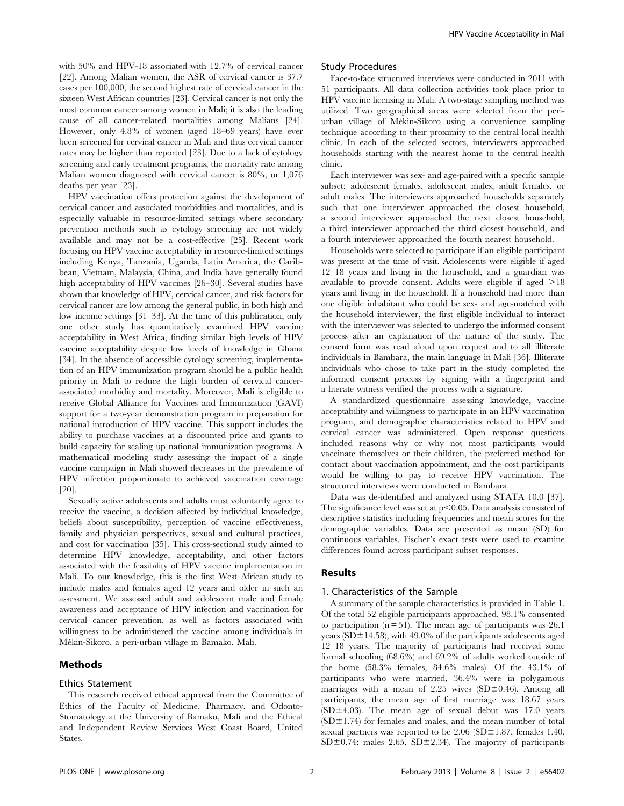with 50% and HPV-18 associated with 12.7% of cervical cancer [22]. Among Malian women, the ASR of cervical cancer is 37.7 cases per 100,000, the second highest rate of cervical cancer in the sixteen West African countries [23]. Cervical cancer is not only the most common cancer among women in Mali; it is also the leading cause of all cancer-related mortalities among Malians [24]. However, only 4.8% of women (aged 18–69 years) have ever been screened for cervical cancer in Mali and thus cervical cancer rates may be higher than reported [23]. Due to a lack of cytology screening and early treatment programs, the mortality rate among Malian women diagnosed with cervical cancer is 80%, or 1,076 deaths per year [23].

HPV vaccination offers protection against the development of cervical cancer and associated morbidities and mortalities, and is especially valuable in resource-limited settings where secondary prevention methods such as cytology screening are not widely available and may not be a cost-effective [25]. Recent work focusing on HPV vaccine acceptability in resource-limited settings including Kenya, Tanzania, Uganda, Latin America, the Caribbean, Vietnam, Malaysia, China, and India have generally found high acceptability of HPV vaccines [26–30]. Several studies have shown that knowledge of HPV, cervical cancer, and risk factors for cervical cancer are low among the general public, in both high and low income settings [31–33]. At the time of this publication, only one other study has quantitatively examined HPV vaccine acceptability in West Africa, finding similar high levels of HPV vaccine acceptability despite low levels of knowledge in Ghana [34]. In the absence of accessible cytology screening, implementation of an HPV immunization program should be a public health priority in Mali to reduce the high burden of cervical cancerassociated morbidity and mortality. Moreover, Mali is eligible to receive Global Alliance for Vaccines and Immunization (GAVI) support for a two-year demonstration program in preparation for national introduction of HPV vaccine. This support includes the ability to purchase vaccines at a discounted price and grants to build capacity for scaling up national immunization programs. A mathematical modeling study assessing the impact of a single vaccine campaign in Mali showed decreases in the prevalence of HPV infection proportionate to achieved vaccination coverage [20].

Sexually active adolescents and adults must voluntarily agree to receive the vaccine, a decision affected by individual knowledge, beliefs about susceptibility, perception of vaccine effectiveness, family and physician perspectives, sexual and cultural practices, and cost for vaccination [35]. This cross-sectional study aimed to determine HPV knowledge, acceptability, and other factors associated with the feasibility of HPV vaccine implementation in Mali. To our knowledge, this is the first West African study to include males and females aged 12 years and older in such an assessment. We assessed adult and adolescent male and female awareness and acceptance of HPV infection and vaccination for cervical cancer prevention, as well as factors associated with willingness to be administered the vaccine among individuals in Me`kin-Sikoro, a peri-urban village in Bamako, Mali.

#### Methods

#### Ethics Statement

This research received ethical approval from the Committee of Ethics of the Faculty of Medicine, Pharmacy, and Odonto-Stomatology at the University of Bamako, Mali and the Ethical and Independent Review Services West Coast Board, United States.

#### Study Procedures

Face-to-face structured interviews were conducted in 2011 with 51 participants. All data collection activities took place prior to HPV vaccine licensing in Mali. A two-stage sampling method was utilized. Two geographical areas were selected from the periurban village of Mèkin-Sikoro using a convenience sampling technique according to their proximity to the central local health clinic. In each of the selected sectors, interviewers approached households starting with the nearest home to the central health clinic.

Each interviewer was sex- and age-paired with a specific sample subset; adolescent females, adolescent males, adult females, or adult males. The interviewers approached households separately such that one interviewer approached the closest household, a second interviewer approached the next closest household, a third interviewer approached the third closest household, and a fourth interviewer approached the fourth nearest household.

Households were selected to participate if an eligible participant was present at the time of visit. Adolescents were eligible if aged 12–18 years and living in the household, and a guardian was available to provide consent. Adults were eligible if aged  $>18$ years and living in the household. If a household had more than one eligible inhabitant who could be sex- and age-matched with the household interviewer, the first eligible individual to interact with the interviewer was selected to undergo the informed consent process after an explanation of the nature of the study. The consent form was read aloud upon request and to all illiterate individuals in Bambara, the main language in Mali [36]. Illiterate individuals who chose to take part in the study completed the informed consent process by signing with a fingerprint and a literate witness verified the process with a signature.

A standardized questionnaire assessing knowledge, vaccine acceptability and willingness to participate in an HPV vaccination program, and demographic characteristics related to HPV and cervical cancer was administered. Open response questions included reasons why or why not most participants would vaccinate themselves or their children, the preferred method for contact about vaccination appointment, and the cost participants would be willing to pay to receive HPV vaccination. The structured interviews were conducted in Bambara.

Data was de-identified and analyzed using STATA 10.0 [37]. The significance level was set at  $p<0.05$ . Data analysis consisted of descriptive statistics including frequencies and mean scores for the demographic variables. Data are presented as mean (SD) for continuous variables. Fischer's exact tests were used to examine differences found across participant subset responses.

#### Results

#### 1. Characteristics of the Sample

A summary of the sample characteristics is provided in Table 1. Of the total 52 eligible participants approached, 98.1% consented to participation  $(n = 51)$ . The mean age of participants was 26.1 years ( $SD \pm 14.58$ ), with 49.0% of the participants adolescents aged 12–18 years. The majority of participants had received some formal schooling (68.6%) and 69.2% of adults worked outside of the home (58.3% females, 84.6% males). Of the 43.1% of participants who were married, 36.4% were in polygamous marriages with a mean of 2.25 wives  $(SD\pm0.46)$ . Among all participants, the mean age of first marriage was 18.67 years (SD $\pm$ 4.03). The mean age of sexual debut was 17.0 years  $(SD<sup>±</sup>1.74)$  for females and males, and the mean number of total sexual partners was reported to be  $2.06$  (SD $\pm1.87$ , females 1.40,  $SD \pm 0.74$ ; males 2.65,  $SD \pm 2.34$ ). The majority of participants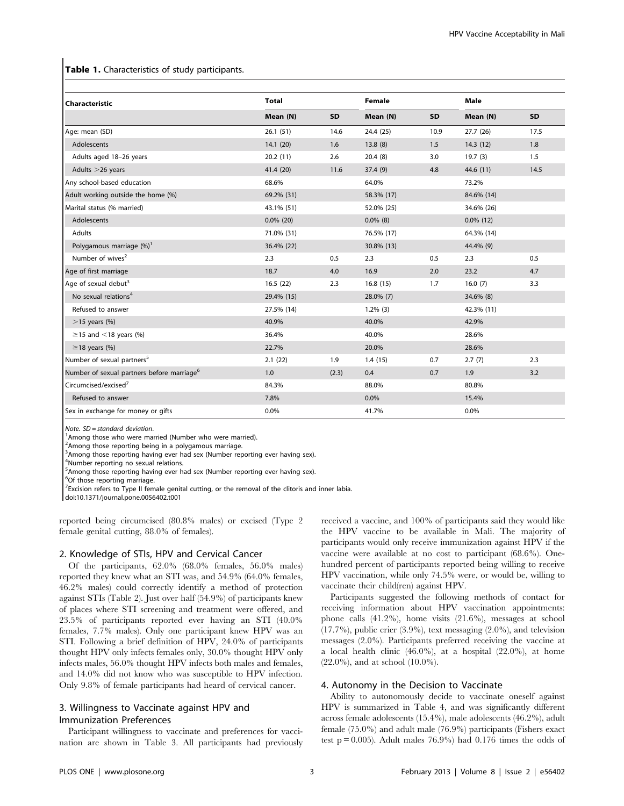#### Table 1. Characteristics of study participants.

| Characteristic                                         | <b>Total</b> |           | <b>Female</b> |           | Male         |           |
|--------------------------------------------------------|--------------|-----------|---------------|-----------|--------------|-----------|
|                                                        | Mean (N)     | <b>SD</b> | Mean (N)      | <b>SD</b> | Mean (N)     | <b>SD</b> |
| Age: mean (SD)                                         | 26.1(51)     | 14.6      | 24.4 (25)     | 10.9      | 27.7 (26)    | 17.5      |
| Adolescents                                            | 14.1(20)     | 1.6       | 13.8(8)       | 1.5       | 14.3(12)     | 1.8       |
| Adults aged 18-26 years                                | 20.2(11)     | 2.6       | 20.4(8)       | 3.0       | 19.7(3)      | 1.5       |
| Adults > 26 years                                      | 41.4 (20)    | 11.6      | 37.4(9)       | 4.8       | 44.6 (11)    | 14.5      |
| Any school-based education                             | 68.6%        |           | 64.0%         |           | 73.2%        |           |
| Adult working outside the home (%)                     | 69.2% (31)   |           | 58.3% (17)    |           | 84.6% (14)   |           |
| Marital status (% married)                             | 43.1% (51)   |           | 52.0% (25)    |           | 34.6% (26)   |           |
| Adolescents                                            | $0.0\%$ (20) |           | $0.0\%$ (8)   |           | $0.0\%$ (12) |           |
| Adults                                                 | 71.0% (31)   |           | 76.5% (17)    |           | 64.3% (14)   |           |
| Polygamous marriage (%) <sup>1</sup>                   | 36.4% (22)   |           | 30.8% (13)    |           | 44.4% (9)    |           |
| Number of wives <sup>2</sup>                           | 2.3          | 0.5       | 2.3           | 0.5       | 2.3          | 0.5       |
| Age of first marriage                                  | 18.7         | 4.0       | 16.9          | 2.0       | 23.2         | 4.7       |
| Age of sexual debut <sup>3</sup>                       | 16.5(22)     | 2.3       | 16.8(15)      | 1.7       | 16.0(7)      | 3.3       |
| No sexual relations <sup>4</sup>                       | 29.4% (15)   |           | 28.0% (7)     |           | 34.6% (8)    |           |
| Refused to answer                                      | 27.5% (14)   |           | $1.2\%$ (3)   |           | 42.3% (11)   |           |
| $>15$ years (%)                                        | 40.9%        |           | 40.0%         |           | 42.9%        |           |
| $\geq$ 15 and <18 years (%)                            | 36.4%        |           | 40.0%         |           | 28.6%        |           |
| $\geq$ 18 years (%)                                    | 22.7%        |           | 20.0%         |           | 28.6%        |           |
| Number of sexual partners <sup>5</sup>                 | 2.1(22)      | 1.9       | 1.4(15)       | 0.7       | 2.7(7)       | 2.3       |
| Number of sexual partners before marriage <sup>6</sup> | 1.0          | (2.3)     | 0.4           | 0.7       | 1.9          | 3.2       |
| Circumcised/excised <sup>7</sup>                       | 84.3%        |           | 88.0%         |           | 80.8%        |           |
| Refused to answer                                      | 7.8%         |           | 0.0%          |           | 15.4%        |           |
| Sex in exchange for money or gifts                     | 0.0%         |           | 41.7%         |           | 0.0%         |           |

Note.  $SD = standard deviation$ .

<sup>1</sup> Among those who were married (Number who were married).

<sup>2</sup> Among those reporting being in a polygamous marriage.

<sup>3</sup> Among those reporting having ever had sex (Number reporting ever having sex).

4 Number reporting no sexual relations.

<sup>5</sup> Among those reporting having ever had sex (Number reporting ever having sex).

6 Of those reporting marriage.

 $7$  Excision refers to Type II female genital cutting, or the removal of the clitoris and inner labia.

doi:10.1371/journal.pone.0056402.t001

reported being circumcised (80.8% males) or excised (Type 2 female genital cutting, 88.0% of females).

#### 2. Knowledge of STIs, HPV and Cervical Cancer

Of the participants, 62.0% (68.0% females, 56.0% males) reported they knew what an STI was, and 54.9% (64.0% females, 46.2% males) could correctly identify a method of protection against STIs (Table 2). Just over half (54.9%) of participants knew of places where STI screening and treatment were offered, and 23.5% of participants reported ever having an STI (40.0% females, 7.7% males). Only one participant knew HPV was an STI. Following a brief definition of HPV, 24.0% of participants thought HPV only infects females only, 30.0% thought HPV only infects males, 56.0% thought HPV infects both males and females, and 14.0% did not know who was susceptible to HPV infection. Only 9.8% of female participants had heard of cervical cancer.

#### 3. Willingness to Vaccinate against HPV and Immunization Preferences

Participant willingness to vaccinate and preferences for vaccination are shown in Table 3. All participants had previously received a vaccine, and 100% of participants said they would like the HPV vaccine to be available in Mali. The majority of participants would only receive immunization against HPV if the vaccine were available at no cost to participant (68.6%). Onehundred percent of participants reported being willing to receive HPV vaccination, while only 74.5% were, or would be, willing to vaccinate their child(ren) against HPV.

Participants suggested the following methods of contact for receiving information about HPV vaccination appointments: phone calls (41.2%), home visits (21.6%), messages at school (17.7%), public crier (3.9%), text messaging (2.0%), and television messages (2.0%). Participants preferred receiving the vaccine at a local health clinic  $(46.0\%)$ , at a hospital  $(22.0\%)$ , at home (22.0%), and at school (10.0%).

#### 4. Autonomy in the Decision to Vaccinate

Ability to autonomously decide to vaccinate oneself against HPV is summarized in Table 4, and was significantly different across female adolescents (15.4%), male adolescents (46.2%), adult female (75.0%) and adult male (76.9%) participants (Fishers exact test  $p = 0.005$ ). Adult males 76.9%) had 0.176 times the odds of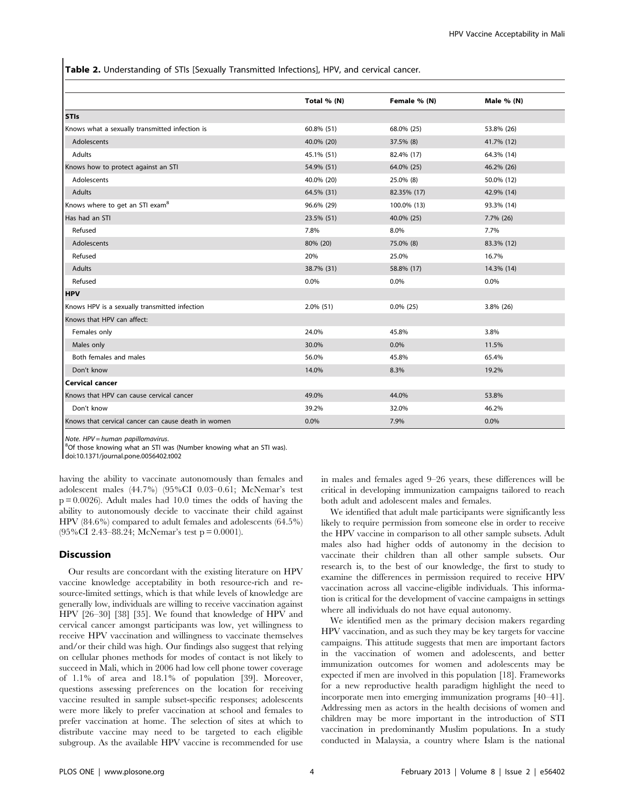Table 2. Understanding of STIs [Sexually Transmitted Infections], HPV, and cervical cancer.

|                                                     | Total % (N) | Female % (N) | Male % (N) |
|-----------------------------------------------------|-------------|--------------|------------|
| <b>STIs</b>                                         |             |              |            |
| Knows what a sexually transmitted infection is      | 60.8% (51)  | 68.0% (25)   | 53.8% (26) |
| Adolescents                                         | 40.0% (20)  | 37.5% (8)    | 41.7% (12) |
| Adults                                              | 45.1% (51)  | 82.4% (17)   | 64.3% (14) |
| Knows how to protect against an STI                 | 54.9% (51)  | 64.0% (25)   | 46.2% (26) |
| Adolescents                                         | 40.0% (20)  | 25.0% (8)    | 50.0% (12) |
| Adults                                              | 64.5% (31)  | 82.35% (17)  | 42.9% (14) |
| Knows where to get an STI exam <sup>8</sup>         | 96.6% (29)  | 100.0% (13)  | 93.3% (14) |
| Has had an STI                                      | 23.5% (51)  | 40.0% (25)   | 7.7% (26)  |
| Refused                                             | 7.8%        | 8.0%         | 7.7%       |
| Adolescents                                         | 80% (20)    | 75.0% (8)    | 83.3% (12) |
| Refused                                             | 20%         | 25.0%        | 16.7%      |
| Adults                                              | 38.7% (31)  | 58.8% (17)   | 14.3% (14) |
| Refused                                             | 0.0%        | 0.0%         | 0.0%       |
| <b>HPV</b>                                          |             |              |            |
| Knows HPV is a sexually transmitted infection       | 2.0% (51)   | $0.0\%$ (25) | 3.8% (26)  |
| Knows that HPV can affect:                          |             |              |            |
| Females only                                        | 24.0%       | 45.8%        | 3.8%       |
| Males only                                          | 30.0%       | 0.0%         | 11.5%      |
| Both females and males                              | 56.0%       | 45.8%        | 65.4%      |
| Don't know                                          | 14.0%       | 8.3%         | 19.2%      |
| <b>Cervical cancer</b>                              |             |              |            |
| Knows that HPV can cause cervical cancer            | 49.0%       | 44.0%        | 53.8%      |
| Don't know                                          | 39.2%       | 32.0%        | 46.2%      |
| Knows that cervical cancer can cause death in women | 0.0%        | 7.9%         | 0.0%       |

Note. HPV = human papillomavirus. <sup>8</sup>

 ${}^{8}$ Of those knowing what an STI was (Number knowing what an STI was).

doi:10.1371/journal.pone.0056402.t002

having the ability to vaccinate autonomously than females and adolescent males (44.7%) (95%CI 0.03–0.61; McNemar's test  $p = 0.0026$ ). Adult males had 10.0 times the odds of having the ability to autonomously decide to vaccinate their child against HPV (84.6%) compared to adult females and adolescents (64.5%) (95%CI 2.43–88.24; McNemar's test p = 0.0001).

#### Discussion

Our results are concordant with the existing literature on HPV vaccine knowledge acceptability in both resource-rich and resource-limited settings, which is that while levels of knowledge are generally low, individuals are willing to receive vaccination against HPV [26–30] [38] [35]. We found that knowledge of HPV and cervical cancer amongst participants was low, yet willingness to receive HPV vaccination and willingness to vaccinate themselves and/or their child was high. Our findings also suggest that relying on cellular phones methods for modes of contact is not likely to succeed in Mali, which in 2006 had low cell phone tower coverage of 1.1% of area and 18.1% of population [39]. Moreover, questions assessing preferences on the location for receiving vaccine resulted in sample subset-specific responses; adolescents were more likely to prefer vaccination at school and females to prefer vaccination at home. The selection of sites at which to distribute vaccine may need to be targeted to each eligible subgroup. As the available HPV vaccine is recommended for use in males and females aged 9–26 years, these differences will be critical in developing immunization campaigns tailored to reach both adult and adolescent males and females.

We identified that adult male participants were significantly less likely to require permission from someone else in order to receive the HPV vaccine in comparison to all other sample subsets. Adult males also had higher odds of autonomy in the decision to vaccinate their children than all other sample subsets. Our research is, to the best of our knowledge, the first to study to examine the differences in permission required to receive HPV vaccination across all vaccine-eligible individuals. This information is critical for the development of vaccine campaigns in settings where all individuals do not have equal autonomy.

We identified men as the primary decision makers regarding HPV vaccination, and as such they may be key targets for vaccine campaigns. This attitude suggests that men are important factors in the vaccination of women and adolescents, and better immunization outcomes for women and adolescents may be expected if men are involved in this population [18]. Frameworks for a new reproductive health paradigm highlight the need to incorporate men into emerging immunization programs [40–41]. Addressing men as actors in the health decisions of women and children may be more important in the introduction of STI vaccination in predominantly Muslim populations. In a study conducted in Malaysia, a country where Islam is the national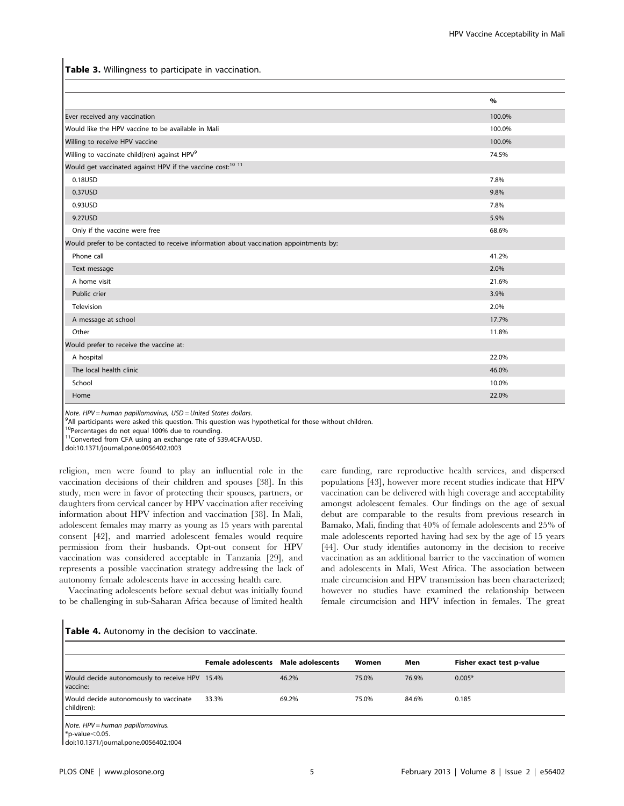Table 3. Willingness to participate in vaccination.

|                                                                                        | $\%$   |
|----------------------------------------------------------------------------------------|--------|
| Ever received any vaccination                                                          | 100.0% |
| Would like the HPV vaccine to be available in Mali                                     | 100.0% |
| Willing to receive HPV vaccine                                                         | 100.0% |
| Willing to vaccinate child(ren) against HPV <sup>9</sup>                               | 74.5%  |
| Would get vaccinated against HPV if the vaccine cost: <sup>10 11</sup>                 |        |
| 0.18USD                                                                                | 7.8%   |
| 0.37USD                                                                                | 9.8%   |
| 0.93USD                                                                                | 7.8%   |
| 9.27USD                                                                                | 5.9%   |
| Only if the vaccine were free                                                          | 68.6%  |
| Would prefer to be contacted to receive information about vaccination appointments by: |        |
| Phone call                                                                             | 41.2%  |
| Text message                                                                           | 2.0%   |
| A home visit                                                                           | 21.6%  |
| Public crier                                                                           | 3.9%   |
| Television                                                                             | 2.0%   |
| A message at school                                                                    | 17.7%  |
| Other                                                                                  | 11.8%  |
| Would prefer to receive the vaccine at:                                                |        |
| A hospital                                                                             | 22.0%  |
| The local health clinic                                                                | 46.0%  |
| School                                                                                 | 10.0%  |
| Home                                                                                   | 22.0%  |

Note. HPV = human papillomavirus, USD = United States dollars. <sup>9</sup>

 $9$ All participants were asked this question. This question was hypothetical for those without children.

<sup>10</sup>Percentages do not equal 100% due to rounding.

11Converted from CFA using an exchange rate of 539.4CFA/USD.

doi:10.1371/journal.pone.0056402.t003

religion, men were found to play an influential role in the vaccination decisions of their children and spouses [38]. In this study, men were in favor of protecting their spouses, partners, or daughters from cervical cancer by HPV vaccination after receiving information about HPV infection and vaccination [38]. In Mali, adolescent females may marry as young as 15 years with parental consent [42], and married adolescent females would require permission from their husbands. Opt-out consent for HPV vaccination was considered acceptable in Tanzania [29], and represents a possible vaccination strategy addressing the lack of autonomy female adolescents have in accessing health care.

Vaccinating adolescents before sexual debut was initially found to be challenging in sub-Saharan Africa because of limited health

care funding, rare reproductive health services, and dispersed populations [43], however more recent studies indicate that HPV vaccination can be delivered with high coverage and acceptability amongst adolescent females. Our findings on the age of sexual debut are comparable to the results from previous research in Bamako, Mali, finding that 40% of female adolescents and 25% of male adolescents reported having had sex by the age of 15 years [44]. Our study identifies autonomy in the decision to receive vaccination as an additional barrier to the vaccination of women and adolescents in Mali, West Africa. The association between male circumcision and HPV transmission has been characterized; however no studies have examined the relationship between female circumcision and HPV infection in females. The great

#### Table 4. Autonomy in the decision to vaccinate.

|                                                                                                     | <b>Female adolescents</b> Male adolescents |       | Women | Men   | Fisher exact test p-value |
|-----------------------------------------------------------------------------------------------------|--------------------------------------------|-------|-------|-------|---------------------------|
| Would decide autonomously to receive HPV 15.4%<br>I vaccine:                                        |                                            | 46.2% | 75.0% | 76.9% | $0.005*$                  |
| Would decide autonomously to vaccinate<br>child(ren):                                               | 33.3%                                      | 69.2% | 75.0% | 84.6% | 0.185                     |
| Note. HPV = human papillomavirus.<br>$*p$ -value $<$ 0.05.<br>doi:10.1371/journal.pone.0056402.t004 |                                            |       |       |       |                           |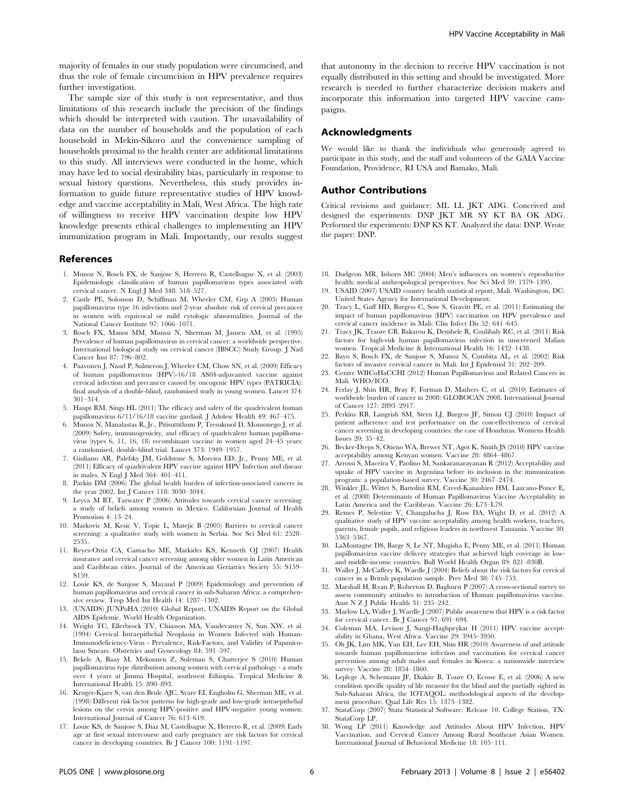majority of females in our study population were circumcised, and thus the role of female circumcision in HPV prevalence requires further investigation.

The sample size of this study is not representative, and thus limitations of this research include the precision of the findings which should be interpreted with caution. The unavailability of data on the number of households and the population of each household in Mekin-Sikoro and the convenience sampling of households proximal to the health center are additional limitations to this study. All interviews were conducted in the home, which may have led to social desirability bias, particularly in response to sexual history questions. Nevertheless, this study provides information to guide future representative studies of HPV knowledge and vaccine acceptability in Mali, West Africa. The high rate of willingness to receive HPV vaccination despite low HPV knowledge presents ethical challenges to implementing an HPV immunization program in Mali. Importantly, our results suggest

#### References

- 1. Munoz N, Bosch FX, de Sanjose S, Herrero R, Castellsague X, et al. (2003) Epidemiologic classification of human papillomavirus types associated with cervical cancer. N Engl J Med 348: 518–527.
- 2. Castle PE, Solomon D, Schiffman M, Wheeler CM, Grp A (2005) Human papillomavirus type 16 infections and 2-year absolute risk of cervical precancer women with equivocal or mild cytologic abnormalities. Journal of the National Cancer Institute 97: 1066–1071.
- 3. Bosch FX, Manos MM, Munoz N, Sherman M, Jansen AM, et al. (1995) Prevalence of human papillomavirus in cervical cancer: a worldwide perspective. International biological study on cervical cancer (IBSCC) Study Group. J Natl Cancer Inst 87: 796–802.
- 4. Paavonen J, Naud P, Salmeron J, Wheeler CM, Chow SN, et al. (2009) Efficacy of human papillomavirus (HPV)-16/18 AS04-adjuvanted vaccine against cervical infection and precancer caused by oncogenic HPV types (PATRICIA): final analysis of a double-blind, randomised study in young women. Lancet 374: 301–314.
- 5. Haupt RM, Sings HL (2011) The efficacy and safety of the quadrivalent human papillomavirus 6/11/16/18 vaccine gardasil. J Adolesc Health 49: 467–475.
- 6. Munoz N, Manalastas R, Jr., Pitisuttithum P, Tresukosol D, Monsonego J, et al. (2009) Safety, immunogenicity, and efficacy of quadrivalent human papillomavirus (types 6, 11, 16, 18) recombinant vaccine in women aged 24–45 years: a randomised, double-blind trial. Lancet 373: 1949–1957.
- 7. Giuliano AR, Palefsky JM, Goldstone S, Moreira ED, Jr., Penny ME, et al. (2011) Efficacy of quadrivalent HPV vaccine against HPV Infection and disease in males. N Engl J Med 364: 401–411.
- 8. Parkin DM (2006) The global health burden of infection-associated cancers in the year 2002. Int J Cancer 118: 3030–3044.
- 9. Leyva M BT, Tarwater P (2006) Attitudes towards cervical cancer screening: a study of beliefs among women in Mexico. Californian Journal of Health Promotion 4: 13–24.
- 10. Markovic M, Kesic V, Topic L, Matejic B (2005) Barriers to cervical cancer screening: a qualitative study with women in Serbia. Soc Sci Med 61: 2528– 2535.
- 11. Reyes-Ortiz CA, Camacho ME, Markides KS, Kenneth OJ (2007) Health insurance and cervical cancer screening among older women in Latin American and Caribbean cities. Journal of the American Geriatrics Society 55: S159– S159.
- 12. Louie KS, de Sanjose S, Mayaud P (2009) Epidemiology and prevention of human papillomavirus and cervical cancer in sub-Saharan Africa: a comprehensive review. Trop Med Int Health 14: 1287–1302.
- 13. (UNAIDS) JUNPoHA (2010) Global Report, UNAIDS Report on the Global AIDS Epidemic. World Health Organization.
- 14. Wright TC, Ellerbrock TV, Chiasson MA, Vandevanter N, Sun XW, et al. (1994) Cervical Intraepithelial Neoplasia in Women Infected with Human-Immunodeficiency-Virus - Prevalence, Risk-Factors, and Validity of Papanicolaou Smears. Obstetrics and Gynecology 84: 591–597.
- 15. Bekele A, Baay M, Mekonnen Z, Suleman S, Chatterjee S (2010) Human papillomavirus type distribution among women with cervical pathology - a study over 4 years at Jimma Hospital, southwest Ethiopia. Tropical Medicine & International Health 15: 890–893.
- 16. Kruger-Kjaer S, van den Brule AJC, Svare EI, Engholm G, Sherman ME, et al. (1998) Different risk factor patterns for high-grade and low-grade intraepithelial lesions on the cervix among HPV-positive and HPV-negative young women. International Journal of Cancer 76: 613–619.
- 17. Louie KS, de Sanjose S, Diaz M, Castellsague X, Herrero R, et al. (2009) Early age at first sexual intercourse and early pregnancy are risk factors for cervical cancer in developing countries. Br J Cancer 100: 1191–1197.

that autonomy in the decision to receive HPV vaccination is not equally distributed in this setting and should be investigated. More research is needed to further characterize decision makers and incorporate this information into targeted HPV vaccine campaigns.

#### Acknowledgments

We would like to thank the individuals who generously agreed to participate in this study, and the staff and volunteers of the GAIA Vaccine Foundation, Providence, RI USA and Bamako, Mali.

#### Author Contributions

Critical revisions and guidance: ML LL JKT ADG. Conceived and designed the experiments: DNP JKT MR SY KT BA OK ADG. Performed the experiments: DNP KS KT. Analyzed the data: DNP. Wrote the paper: DNP.

- 18. Dudgeon MR, Inhorn MC (2004) Men's influences on women's reproductive health: medical anthropological perspectives. Soc Sci Med 59: 1379–1395.
- 19. USAID (2007) USAID country health statistical report, Mali. Washington, DC: United States Agency for International Development.
- 20. Tracy L, Gaff HD, Burgess C, Sow S, Gravitt PE, et al. (2011) Estimating the impact of human papillomavirus (HPV) vaccination on HPV prevalence and cervical cancer incidence in Mali. Clin Infect Dis 52: 641–645.
- 21. Tracy JK, Traore CB, Bakarou K, Dembele R, Coulibaly RC, et al. (2011) Risk factors for high-risk human papillomavirus infection in unscreened Malian women. Tropical Medicine & International Health 16: 1432–1438.
- 22. Bayo S, Bosch FX, de Sanjose S, Munoz N, Combita AL, et al. (2002) Risk factors of invasive cervical cancer in Mali. Int J Epidemiol 31: 202–209.
- 23. Centre WIICoHaCCHI (2012) Human Papillomavirus and Related Cancers in Mali. WHO/ICO.
- 24. Ferlay J, Shin HR, Bray F, Forman D, Mathers C, et al. (2010) Estimates of worldwide burden of cancer in 2008: GLOBOCAN 2008. International Journal of Cancer 127: 2893–2917.
- 25. Perkins RB, Langrish SM, Stern LJ, Burgess JF, Simon CJ (2010) Impact of patient adherence and test performance on the cost-effectiveness of cervical cancer screening in developing countries: the case of Honduras. Womens Health Issues 20: 35–42.
- 26. Becker-Dreps S, Otieno WA, Brewer NT, Agot K, Smith JS (2010) HPV vaccine acceptability among Kenyan women. Vaccine 28: 4864–4867.
- 27. Arrossi S, Maceira V, Paolino M, Sankaranarayanan R (2012) Acceptability and uptake of HPV vaccine in Argentina before its inclusion in the immunization program: a population-based survey. Vaccine 30: 2467–2474.
- 28. Winkler JL, Wittet S, Bartolini RM, Creed-Kanashiro HM, Lazcano-Ponce E, et al. (2008) Determinants of Human Papillomavirus Vaccine Acceptability in Latin America and the Caribbean. Vaccine 26: L73–L79.
- 29. Remes P, Selestine V, Changalucha J, Ross DA, Wight D, et al. (2012) A qualitative study of HPV vaccine acceptability among health workers, teachers, parents, female pupils, and religious leaders in northwest Tanzania. Vaccine 30: 5363–5367.
- 30. LaMontagne DS, Barge S, Le NT, Mugisha E, Penny ME, et al. (2011) Human papillomavirus vaccine delivery strategies that achieved high coverage in lowand middle-income countries. Bull World Health Organ 89: 821–830B.
- 31. Waller J, McCaffery K, Wardle J (2004) Beliefs about the risk factors for cervical cancer in a British population sample. Prev Med 38: 745–753.
- 32. Marshall H, Ryan P, Roberton D, Baghurst P (2007) A cross-sectional survey to assess community attitudes to introduction of Human papillomavirus vaccine. Aust N Z J Public Health 31: 235–242.
- 33. Marlow LA, Waller J, Wardle J (2007) Public awareness that HPV is a risk factor for cervical cancer. Br J Cancer 97: 691–694.
- 34. Coleman MA, Levison J, Sangi-Haghpeykar H (2011) HPV vaccine acceptability in Ghana, West Africa. Vaccine 29: 3945–3950.
- 35. Oh JK, Lim MK, Yun EH, Lee EH, Shin HR (2010) Awareness of and attitude towards human papillomavirus infection and vaccination for cervical cancer prevention among adult males and females in Korea: a nationwide interview survey. Vaccine 28: 1854–1860.
- 36. Leplege A, Schemann JF, Diakite B, Toure O, Ecosse E, et al. (2006) A new condition specific quality of life measure for the blind and the partially sighted in Sub-Saharan Africa, the IOTAQOL: methodological aspects of the development procedure. Qual Life Res 15: 1373–1382.
- 37. StataCorp (2007) Stata Statistical Software: Release 10. College Station, TX: StataCorp LP.
- 38. Wong LP (2011) Knowledge and Attitudes About HPV Infection, HPV Vaccination, and Cervical Cancer Among Rural Southeast Asian Women. International Journal of Behavioral Medicine 18: 105–111.